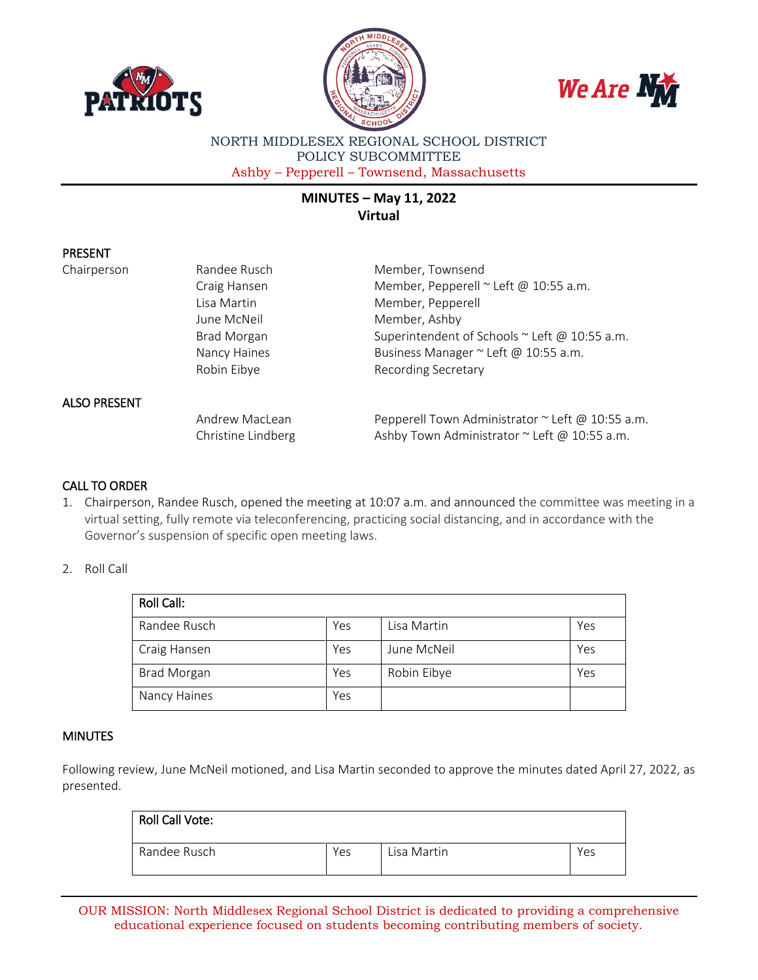





NORTH MIDDLESEX REGIONAL SCHOOL DISTRICT POLICY SUBCOMMITTEE Ashby – Pepperell – Townsend, Massachusetts

# **MINUTES – May 11, 2022 Virtual**

## PRESENT

Chairperson Randee Rusch Member, Townsend

Craig Hansen Member, Pepperell ~ Left @ 10:55 a.m. Lisa Martin Member, Pepperell June McNeil **Member**, Ashby Brad Morgan Superintendent of Schools ~ Left @ 10:55 a.m. Nancy Haines **Business Manager** ~ Left @ 10:55 a.m. Robin Eibye **Recording Secretary** 

# ALSO PRESENT

Andrew MacLean Pepperell Town Administrator ~ Left @ 10:55 a.m. Christine Lindberg  $A$ shby Town Administrator ~ Left @ 10:55 a.m.

### CALL TO ORDER

1. Chairperson, Randee Rusch, opened the meeting at 10:07 a.m. and announced the committee was meeting in a virtual setting, fully remote via teleconferencing, practicing social distancing, and in accordance with the Governor's suspension of specific open meeting laws.

#### 2. Roll Call

| Roll Call:         |     |             |     |  |  |
|--------------------|-----|-------------|-----|--|--|
| Randee Rusch       | Yes | Lisa Martin | Yes |  |  |
| Craig Hansen       | Yes | June McNeil | Yes |  |  |
| <b>Brad Morgan</b> | Yes | Robin Eibye | Yes |  |  |
| Nancy Haines       | Yes |             |     |  |  |

#### **MINUTES**

Following review, June McNeil motioned, and Lisa Martin seconded to approve the minutes dated April 27, 2022, as presented.

| Roll Call Vote: |     |             |     |
|-----------------|-----|-------------|-----|
| Randee Rusch    | Yes | Lisa Martin | Yes |

OUR MISSION: North Middlesex Regional School District is dedicated to providing a comprehensive educational experience focused on students becoming contributing members of society.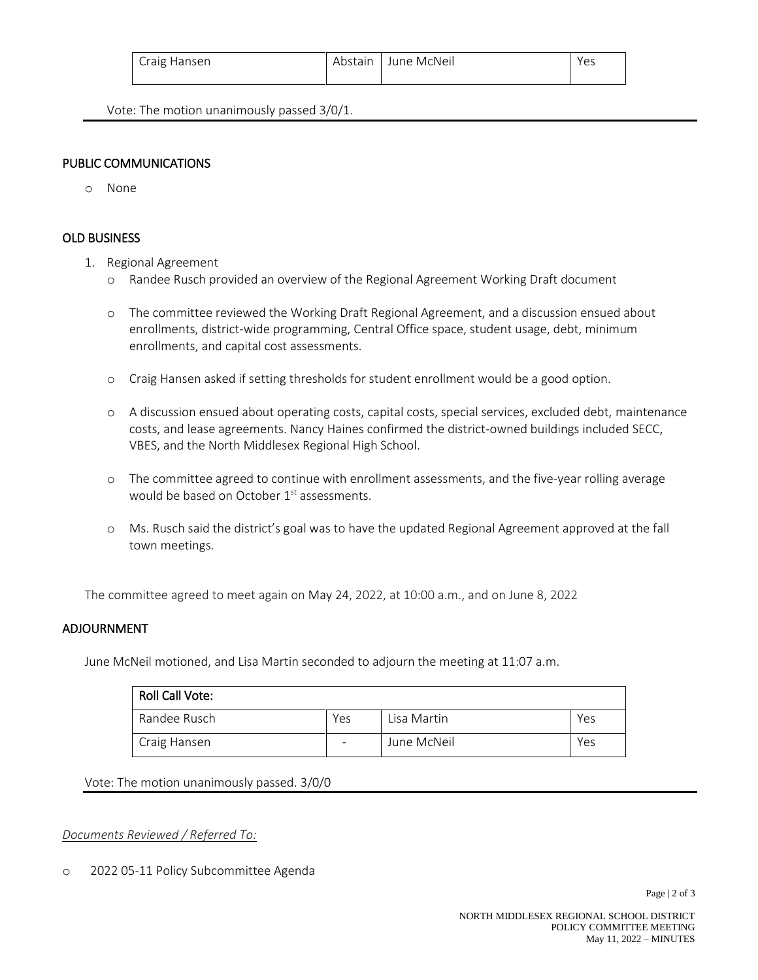| Craig Hansen | Abstain   June McNeil | Yes |
|--------------|-----------------------|-----|
|              |                       |     |

Vote: The motion unanimously passed 3/0/1.

## PUBLIC COMMUNICATIONS

o None

## OLD BUSINESS

- 1. Regional Agreement
	- o Randee Rusch provided an overview of the Regional Agreement Working Draft document
	- o The committee reviewed the Working Draft Regional Agreement, and a discussion ensued about enrollments, district-wide programming, Central Office space, student usage, debt, minimum enrollments, and capital cost assessments.
	- o Craig Hansen asked if setting thresholds for student enrollment would be a good option.
	- o A discussion ensued about operating costs, capital costs, special services, excluded debt, maintenance costs, and lease agreements. Nancy Haines confirmed the district-owned buildings included SECC, VBES, and the North Middlesex Regional High School.
	- o The committee agreed to continue with enrollment assessments, and the five-year rolling average would be based on October 1<sup>st</sup> assessments.
	- o Ms. Rusch said the district's goal was to have the updated Regional Agreement approved at the fall town meetings.

The committee agreed to meet again on May 24, 2022, at 10:00 a.m., and on June 8, 2022

### ADJOURNMENT

June McNeil motioned, and Lisa Martin seconded to adjourn the meeting at 11:07 a.m.

| <b>Roll Call Vote:</b> |     |             |     |
|------------------------|-----|-------------|-----|
| Randee Rusch           | Yes | Lisa Martin | Yes |
| Craig Hansen           | -   | June McNeil | Yes |

Vote: The motion unanimously passed. 3/0/0

*Documents Reviewed / Referred To:*

o 2022 05-11 Policy Subcommittee Agenda

Page  $|2$  of 3